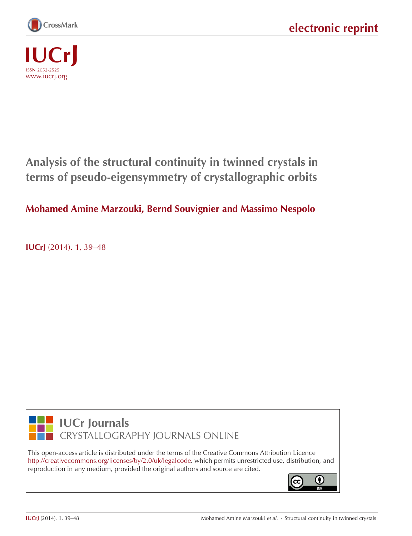



# **Analysis of the structural continuity in twinned crystals in terms of pseudo-eigensymmetry of crystallographic orbits**

# **Mohamed Amine Marzouki, Bernd Souvignier and Massimo Nespolo**

**IUCrJ** (2014). **1**[, 39–48](http://dx.doi.org/10.1107/S2052252513026493)



**IUCr Journals** CRYSTALLOGRAPHY JOURNALS ONLINE

This open-access article is distributed under the terms of the Creative Commons Attribution Licence [http://creativecommons.org/licenses/by/2.0/uk/legalcode,](http://creativecommons.org/licenses/by/2.0/uk/legalcode) which permits unrestricted use, distribution, and reproduction in any medium, provided the original authors and source are cited.

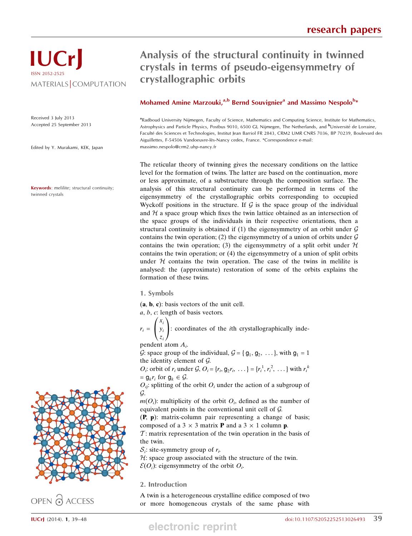# IUCrJ ISSN 2052-2525 MATERIALS COMPUTATION

Received 3 July 2013 Accepted 25 September 2013

Edited by Y. Murakami, KEK, Japan

Keywords: melilite; structural continuity; twinned crystals

# Analysis of the structural continuity in twinned crystals in terms of pseudo-eigensymmetry of crystallographic orbits

## Mohamed Amine Marzouki,<sup>a,b</sup> Bernd Souvignier<sup>a</sup> and Massimo Nespolo<sup>b\*</sup>

aRadboud University Nijmegen, Faculty of Science, Mathematics and Computing Science, Institute for Mathematics, Astrophysics and Particle Physics, Postbus 9010, 6500 GL Nijmegen, The Netherlands, and <sup>b</sup>Université de Lorraine, Faculté des Sciences et Technologies, Institut Jean Barriol FR 2843, CRM2 UMR CNRS 7036, BP 70239, Boulevard des Aiguillettes, F-54506 Vandoeuvre-lès-Nancy cedex, France. \*Correspondence e-mail: massimo.nespolo@crm2.uhp-nancy.fr

The reticular theory of twinning gives the necessary conditions on the lattice level for the formation of twins. The latter are based on the continuation, more or less approximate, of a substructure through the composition surface. The analysis of this structural continuity can be performed in terms of the eigensymmetry of the crystallographic orbits corresponding to occupied Wyckoff positions in the structure. If  $G$  is the space group of the individual and  $H$  a space group which fixes the twin lattice obtained as an intersection of the space groups of the individuals in their respective orientations, then a structural continuity is obtained if (1) the eigensymmetry of an orbit under  $G$ contains the twin operation; (2) the eigensymmetry of a union of orbits under  $\mathcal G$ contains the twin operation; (3) the eigensymmetry of a split orbit under  $H$ contains the twin operation; or (4) the eigensymmetry of a union of split orbits under  $H$  contains the twin operation. The case of the twins in melilite is analysed: the (approximate) restoration of some of the orbits explains the formation of these twins.

1. Symbols

(a, b, c): basis vectors of the unit cell.

a, b, c: length of basis vectors.

 $r_i =$  $x_i$  $y_i$ zi  $\sqrt{2}$  $\mathbf{I}$ 1  $\cdot$ : coordinates of the *i*th crystallographically inde-

pendent atom  $A_i$ .

G: space group of the individual,  $G = \{g_1, g_2, \ldots\}$ , with  $g_1 = 1$ the identity element of G.

 $O_i$ : orbit of  $r_i$  under  $\mathcal{G}, O_i = \{r_i, \mathbf{g}_2 r_i, \dots\} = \{r_i^1, r_i^2, \dots\}$  with  $r_i^k$  $= g_{k}r_{i}$  for  $g_{k} \in \mathcal{G}$ .

 $O_{ii}$ : splitting of the orbit  $O_i$  under the action of a subgroup of G.

 $m(O_i)$ : multiplicity of the orbit  $O_i$ , defined as the number of equivalent points in the conventional unit cell of G.

(P, p): matrix-column pair representing a change of basis; composed of a  $3 \times 3$  matrix **P** and a  $3 \times 1$  column **p**.

 $\mathcal{T}$ : matrix representation of the twin operation in the basis of the twin.

 $S_i$ : site-symmetry group of  $r_i$ .

 $H$ : space group associated with the structure of the twin.

 $\mathcal{E}(O_i)$ : eigensymmetry of the orbit  $O_i$ .

2. Introduction

A twin is a heterogeneous crystalline edifice composed of two or more homogeneous crystals of the same phase with



OPEN PACCESS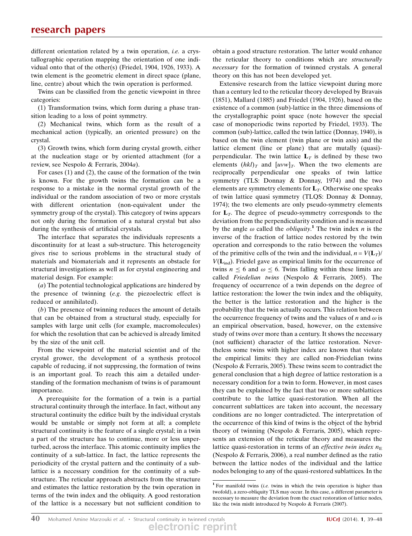different orientation related by a twin operation, *i.e.* a crystallographic operation mapping the orientation of one individual onto that of the other(s) (Friedel, 1904, 1926, 1933). A twin element is the geometric element in direct space (plane, line, centre) about which the twin operation is performed.

Twins can be classified from the genetic viewpoint in three categories:

(1) Transformation twins, which form during a phase transition leading to a loss of point symmetry.

(2) Mechanical twins, which form as the result of a mechanical action (typically, an oriented pressure) on the crystal.

(3) Growth twins, which form during crystal growth, either at the nucleation stage or by oriented attachment (for a review, see Nespolo & Ferraris, 2004a).

For cases (1) and (2), the cause of the formation of the twin is known. For the growth twins the formation can be a response to a mistake in the normal crystal growth of the individual or the random association of two or more crystals with different orientation (non-equivalent under the symmetry group of the crystal). This category of twins appears not only during the formation of a natural crystal but also during the synthesis of artificial crystals.

The interface that separates the individuals represents a discontinuity for at least a sub-structure. This heterogeneity gives rise to serious problems in the structural study of materials and biomaterials and it represents an obstacle for structural investigations as well as for crystal engineering and material design. For example:

(a) The potential technological applications are hindered by the presence of twinning (e.g. the piezoelectric effect is reduced or annihilated).

(b) The presence of twinning reduces the amount of details that can be obtained from a structural study, especially for samples with large unit cells (for example, macromolecules) for which the resolution that can be achieved is already limited by the size of the unit cell.

From the viewpoint of the material scientist and of the crystal grower, the development of a synthesis protocol capable of reducing, if not suppressing, the formation of twins is an important goal. To reach this aim a detailed understanding of the formation mechanism of twins is of paramount importance.

A prerequisite for the formation of a twin is a partial structural continuity through the interface. In fact, without any structural continuity the edifice built by the individual crystals would be unstable or simply not form at all; a complete structural continuity is the feature of a single crystal; in a twin a part of the structure has to continue, more or less unperturbed, across the interface. This atomic continuity implies the continuity of a sub-lattice. In fact, the lattice represents the periodicity of the crystal pattern and the continuity of a sublattice is a necessary condition for the continuity of a substructure. The reticular approach abstracts from the structure and estimates the lattice restoration by the twin operation in terms of the twin index and the obliquity. A good restoration of the lattice is a necessary but not sufficient condition to

obtain a good structure restoration. The latter would enhance the reticular theory to conditions which are structurally necessary for the formation of twinned crystals. A general theory on this has not been developed yet.

Extensive research from the lattice viewpoint during more than a century led to the reticular theory developed by Bravais (1851), Mallard (1885) and Friedel (1904, 1926), based on the existence of a common (sub)-lattice in the three dimensions of the crystallographic point space (note however the special case of monoperiodic twins reported by Friedel, 1933). The common (sub)-lattice, called the twin lattice (Donnay, 1940), is based on the twin element (twin plane or twin axis) and the lattice element (line or plane) that are mutally (quasi) perpendicular. The twin lattice  $L<sub>T</sub>$  is defined by these two elements  $(hkl)_T$  and  $[uvw]_T$ . When the two elements are reciprocally perpendicular one speaks of twin lattice symmetry (TLS: Donnay & Donnay, 1974) and the two elements are symmetry elements for  $L<sub>T</sub>$ . Otherwise one speaks of twin lattice quasi symmetry (TLQS: Donnay & Donnay, 1974); the two elements are only pseudo-symmetry elements for  $L_T$ . The degree of pseudo-symmetry corresponds to the deviation from the perpendicularity condition and is measured by the angle  $\omega$  called the *obliquity*.<sup>1</sup> The twin index *n* is the inverse of the fraction of lattice nodes restored by the twin operation and corresponds to the ratio between the volumes of the primitive cells of the twin and the individual,  $n = V(L_T)$  $V(\mathbf{L}_{\text{ind}})$ . Friedel gave as empirical limits for the occurrence of twins  $n \leq 6$  and  $\omega \leq 6$ . Twins falling within these limits are called Friedelian twins (Nespolo & Ferraris, 2005). The frequency of occurrence of a twin depends on the degree of lattice restoration: the lower the twin index and the obliquity, the better is the lattice restoration and the higher is the probability that the twin actually occurs. This relation between the occurrence frequency of twins and the values of *n* and  $\omega$  is an empirical observation, based, however, on the extensive study of twins over more than a century. It shows the necessary (not sufficient) character of the lattice restoration. Nevertheless some twins with higher index are known that violate the empirical limits: they are called non-Friedelian twins (Nespolo & Ferraris, 2005). These twins seem to contradict the general conclusion that a high degree of lattice restoration is a necessary condition for a twin to form. However, in most cases they can be explained by the fact that two or more sublattices contribute to the lattice quasi-restoration. When all the concurrent sublattices are taken into account, the necessary conditions are no longer contradicted. The interpretation of the occurrence of this kind of twins is the object of the hybrid theory of twinning (Nespolo & Ferraris, 2005), which represents an extension of the reticular theory and measures the lattice quasi-restoration in terms of an *effective twin index*  $n<sub>E</sub>$ (Nespolo & Ferraris, 2006), a real number defined as the ratio between the lattice nodes of the individual and the lattice nodes belonging to any of the quasi-restored sublattices. In the

<sup>&</sup>lt;sup>1</sup> For manifold twins (i.e. twins in which the twin operation is higher than twofold), a zero-obliquity TLS may occur. In this case, a different parameter is necessary to measure the deviation from the exact restoration of lattice nodes, like the twin misfit introduced by Nespolo & Ferraris (2007).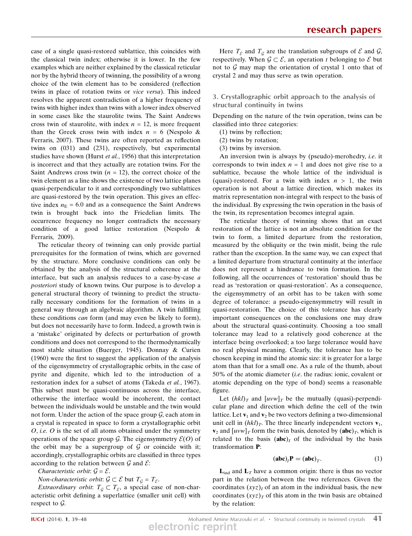case of a single quasi-restored sublattice, this coincides with the classical twin index; otherwise it is lower. In the few examples which are neither explained by the classical reticular nor by the hybrid theory of twinning, the possibility of a wrong choice of the twin element has to be considered (reflection twins in place of rotation twins or vice versa). This indeed resolves the apparent contradiction of a higher frequency of twins with higher index than twins with a lower index observed in some cases like the staurolite twins. The Saint Andrews cross twin of staurolite, with index  $n = 12$ , is more frequent than the Greek cross twin with index  $n = 6$  (Nespolo & Ferraris, 2007). These twins are often reported as reflection twins on (031) and (231), respectively, but experimental studies have shown (Hurst et al., 1956) that this interpretation is incorrect and that they actually are rotation twins. For the Saint Andrews cross twin  $(n = 12)$ , the correct choice of the twin element as a line shows the existence of two lattice planes quasi-perpendicular to it and correspondingly two sublattices are quasi-restored by the twin operation. This gives an effective index  $n<sub>E</sub> = 6.0$  and as a consequence the Saint Andrews twin is brought back into the Friedelian limits. The occurrence frequency no longer contradicts the necessary condition of a good lattice restoration (Nespolo & Ferraris, 2009).

The reticular theory of twinning can only provide partial prerequisites for the formation of twins, which are governed by the structure. More conclusive conditions can only be obtained by the analysis of the structural coherence at the interface, but such an analysis reduces to a case-by-case a posteriori study of known twins. Our purpose is to develop a general structural theory of twinning to predict the structurally necessary conditions for the formation of twins in a general way through an algebraic algorithm. A twin fulfilling these conditions can form (and may even be likely to form), but does not necessarily have to form. Indeed, a growth twin is a 'mistake' originated by defects or perturbation of growth conditions and does not correspond to the thermodynamically most stable situation (Buerger, 1945). Donnay & Curien (1960) were the first to suggest the application of the analysis of the eigensymmetry of crystallographic orbits, in the case of pyrite and digenite, which led to the introduction of a restoration index for a subset of atoms (Takeda et al., 1967). This subset must be quasi-continuous across the interface, otherwise the interface would be incoherent, the contact between the individuals would be unstable and the twin would not form. Under the action of the space group  $G$ , each atom in a crystal is repeated in space to form a crystallographic orbit  $O$ , *i.e.*  $O$  is the set of all atoms obtained under the symmetry operations of the space group G. The eigensymmetry  $\mathcal{E}(O)$  of the orbit may be a supergroup of  $G$  or coincide with it; accordingly, crystallographic orbits are classified in three types according to the relation between  $\mathcal G$  and  $\mathcal E$ :

Characteristic orbit:  $\mathcal{G} = \mathcal{E}$ .

*Non-characteristic orbit:*  $\mathcal{G} \subset \mathcal{E}$  but  $T_{\mathcal{G}} = T_{\mathcal{E}}$ .

*Extraordinary orbit:*  $T_{\mathcal{G}} \subset T_{\mathcal{E}}$ , a special case of non-characteristic orbit defining a superlattice (smaller unit cell) with respect to  $\mathcal{G}$ .

## 3. Crystallographic orbit approach to the analysis of structural continuity in twins

Depending on the nature of the twin operation, twins can be classified into three categories:

- (1) twins by reflection;
- (2) twins by rotation;
- (3) twins by inversion.

An inversion twin is always by (pseudo)-merohedry, i.e. it corresponds to twin index  $n = 1$  and does not give rise to a sublattice, because the whole lattice of the individual is (quasi)-restored. For a twin with index  $n > 1$ , the twin operation is not about a lattice direction, which makes its matrix representation non-integral with respect to the basis of the individual. By expressing the twin operation in the basis of the twin, its representation becomes integral again.

The reticular theory of twinning shows that an exact restoration of the lattice is not an absolute condition for the twin to form, a limited departure from the restoration, measured by the obliquity or the twin misfit, being the rule rather than the exception. In the same way, we can expect that a limited departure from structural continuity at the interface does not represent a hindrance to twin formation. In the following, all the occurrences of 'restoration' should thus be read as 'restoration or quasi-restoration'. As a consequence, the eigensymmetry of an orbit has to be taken with some degree of tolerance: a pseudo-eigensymmetry will result in quasi-restoration. The choice of this tolerance has clearly important consequences on the conclusions one may draw about the structural quasi-continuity. Choosing a too small tolerance may lead to a relatively good coherence at the interface being overlooked; a too large tolerance would have no real physical meaning. Clearly, the tolerance has to be chosen keeping in mind the atomic size: it is greater for a large atom than that for a small one. As a rule of the thumb, about 50% of the atomic diameter (i.e. the radius: ionic, covalent or atomic depending on the type of bond) seems a reasonable figure.

Let  $(hkl)_T$  and  $[uvw]_T$  be the mutually (quasi)-perpendicular plane and direction which define the cell of the twin lattice. Let  $\mathbf{v}_1$  and  $\mathbf{v}_2$  be two vectors defining a two-dimensional unit cell in  $(hkl)_T$ . The three linearly independent vectors  $\mathbf{v}_1$ ,  $\mathbf{v}_2$  and  $\left[uvw\right]_T$  form the twin basis, denoted by  $(\mathbf{abc})_T$ , which is related to the basis  $(abc)_I$  of the individual by the basis transformation P:

$$
(\mathbf{abc})_I \mathbf{P} = (\mathbf{abc})_T. \tag{1}
$$

 ${\bf L}_{ind}$  and  ${\bf L}_T$  have a common origin: there is thus no vector part in the relation between the two references. Given the coordinates  $(xyz)$ , of an atom in the individual basis, the new coordinates  $(xyz)_T$  of this atom in the twin basis are obtained by the relation: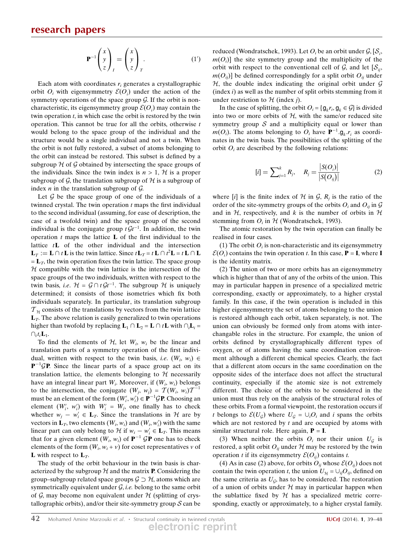$$
\mathbf{P}^{-1} \begin{pmatrix} x \\ y \\ z \end{pmatrix}_I = \begin{pmatrix} x \\ y \\ z \end{pmatrix}_T.
$$
 (1')

Each atom with coordinates  $r_i$  generates a crystallographic orbit  $O_i$  with eigensymmetry  $\mathcal{E}(O_i)$  under the action of the symmetry operations of the space group  $G$ . If the orbit is noncharacteristic, its eigensymmetry group  $\mathcal{E}(O_i)$  may contain the twin operation  $t$ , in which case the orbit is restored by the twin operation. This cannot be true for all the orbits, otherwise  $t$ would belong to the space group of the individual and the structure would be a single individual and not a twin. When the orbit is not fully restored, a subset of atoms belonging to the orbit can instead be restored. This subset is defined by a subgroup  $H$  of G obtained by intersecting the space groups of the individuals. Since the twin index is  $n > 1$ ,  $H$  is a proper subgroup of G, the translation subgroup of H is a subgroup of index  $n$  in the translation subgroup of  $\mathcal{G}$ .

Let  $G$  be the space group of one of the individuals of a twinned crystal. The twin operation  $t$  maps the first individual to the second individual (assuming, for ease of description, the case of a twofold twin) and the space group of the second individual is the conjugate group  $t \mathcal{G}t^{-1}$ . In addition, the twin operation  $t$  maps the lattice  $L$  of the first individual to the lattice  $t\mathbf{L}$  of the other individual and the intersection  $\mathbf{L}_T := \mathbf{L} \cap t \mathbf{L}$  is the twin lattice. Since  $t \mathbf{L}_T = t \mathbf{L} \cap t^2 \mathbf{L} = t \mathbf{L} \cap \mathbf{L}$  $= L_T$ , the twin operation fixes the twin lattice. The space group  $H$  compatible with the twin lattice is the intersection of the space groups of the two individuals, written with respect to the twin basis, *i.e.*  $H = G \cap t Gt^{-1}$ . The subgroup H is uniquely determined; it consists of those isometries which fix both individuals separately. In particular, its translation subgroup  $T_H$  consists of the translations by vectors from the twin lattice  $L<sub>T</sub>$ . The above relation is easily generalized to twin operations higher than twofold by replacing  $\mathbf{L}_1 \cap \mathbf{L}_2 = \mathbf{L} \cap t\mathbf{L}$  with  $\cap_i\mathbf{L}_i =$  $\bigcap_i t_i$ **L**<sub>1</sub>.

To find the elements of  $H$ , let  $W_i$ ,  $W_i$  be the linear and translation parts of a symmetry operation of the first individual, written with respect to the twin basis, *i.e.*  $(W_i, w_i) \in$  $P^{-1}$ GP. Since the linear parts of a space group act on its translation lattice, the elements belonging to  $H$  necessarily have an integral linear part  $W_i$ . Moreover, if  $(W_i, w_i)$  belongs to the intersection, the conjugate  $(W_i, w_j) = \mathcal{T}(W_i, w_i) \mathcal{T}^{-1}$ must be an element of the form  $(W'_i, w'_i) \in \mathbf{P}^{-1} \mathcal{G} \mathbf{P}$ . Choosing an element  $(W'_i, w'_i)$  with  $W'_i = W_j$ , one finally has to check whether  $w_j - w'_i \in \mathbf{L}_T$ . Since the translations in  $H$  are by vectors in  $\mathbf{L}_T$ , two elements  $(W_i, w_i)$  and  $(W_i, w_i')$  with the same linear part can only belong to  $\mathcal{H}$  if  $w_i - w'_i \in \mathbf{L}_T$ . This means that for a given element  $(W_i, w_i)$  of  $\mathbf{P}^{-1}$  GP one has to check elements of the form  $(W_i, w_i + v)$  for coset representatives v of **L** with respect to  $L_T$ .

The study of the orbit behaviour in the twin basis is characterized by the subgroup  $H$  and the matrix **P**. Considering the group–subgroup related space groups  $\mathcal{G} \supset \mathcal{H}$ , atoms which are symmetrically equivalent under  $G$ , *i.e.* belong to the same orbit of  $G$ , may become non equivalent under  $H$  (splitting of crystallographic orbits), and/or their site-symmetry group  $S$  can be

reduced (Wondratschek, 1993). Let  $O_i$  be an orbit under  $\mathcal{G}, [\mathcal{S}_i,$  $m(O<sub>i</sub>)$ ] the site symmetry group and the multiplicity of the orbit with respect to the conventional cell of  $G_i$ , and let  $[\mathcal{S}_{ij}]$ ,  $m(O_{ij})$ ] be defined correspondingly for a split orbit  $O_{ij}$  under  $H$ , the double index indicating the original orbit under  $G$ (index  $i$ ) as well as the number of split orbits stemming from it under restriction to  $H$  (index *i*).

In the case of splitting, the orbit  $O_i = \{g_k r_i, g_k \in G\}$  is divided into two or more orbits of  $H$ , with the same/or reduced site symmetry group  $S$  and a multiplicity equal or lower than  $m(O_i)$ . The atoms belonging to  $O_i$  have  $\mathbf{P}^{-1} \cdot \mathbf{g}_k \cdot r_i$  as coordinates in the twin besis. The possibilities of the splitting of the nates in the twin basis. The possibilities of the splitting of the orbit  $O_i$  are described by the following relations:

$$
[i] = \sum_{j=1}^{k} R_j, \quad R_j = \frac{|S(O_i)|}{|S(O_{ij})|}
$$
 (2)

where [i] is the finite index of  $H$  in  $G$ ,  $R_i$  is the ratio of the order of the site-symmetry groups of the orbits  $O_i$  and  $O_{ii}$  in  $\mathcal G$ and in  $H$ , respectively, and k is the number of orbits in  $H$ stemming from  $O_i$  in  $H$  (Wondratschek, 1993).

The atomic restoration by the twin operation can finally be realised in four cases.

(1) The orbit  $O_i$  is non-characteristic and its eigensymmetry  $\mathcal{E}(O_i)$  contains the twin operation t. In this case, **P** = **I**, where **I** is the identity matrix.

(2) The union of two or more orbits has an eigensymmetry which is higher than that of any of the orbits of the union. This may in particular happen in presence of a specialized metric corresponding, exactly or approximately, to a higher crystal family. In this case, if the twin operation is included in this higher eigensymmetry the set of atoms belonging to the union is restored although each orbit, taken separately, is not. The union can obviously be formed only from atoms with interchangable roles in the structure. For example, the union of orbits defined by crystallographically different types of oxygen, or of atoms having the same coordination environment although a different chemical species. Clearly, the fact that a different atom occurs in the same coordination on the opposite sides of the interface does not affect the structural continuity, especially if the atomic size is not extremely different. The choice of the orbits to be considered in the union must thus rely on the analysis of the structural roles of these orbits. From a formal viewpoint, the restoration occurs if t belongs to  $\mathcal{E}(U_g)$  where  $U_g = \bigcup_i O_i$  and i spans the orbits which are not restored by  $t$  and are occupied by atoms with similar structural role. Here again,  $P = I$ .

(3) When neither the orbits  $O_i$  nor their union  $U_G$  is restored, a split orbit  $O_{ij}$  under  $H$  may be restored by the twin operation t if its eigensymmetry  $\mathcal{E}(O_{ii})$  contains t.

(4) As in case (2) above, for orbits  $O_{ij}$  whose  $\mathcal{E}(O_{ij})$  does not contain the twin operation t, the union  $U_{\mathcal{H}} = \bigcup_{i,j} O_{ij}$ , defined on the same criteria as  $U_{\alpha}$ , has to be considered. The restoration of a union of orbits under  $H$  may in particular happen when the sublattice fixed by  $H$  has a specialized metric corresponding, exactly or approximately, to a higher crystal family.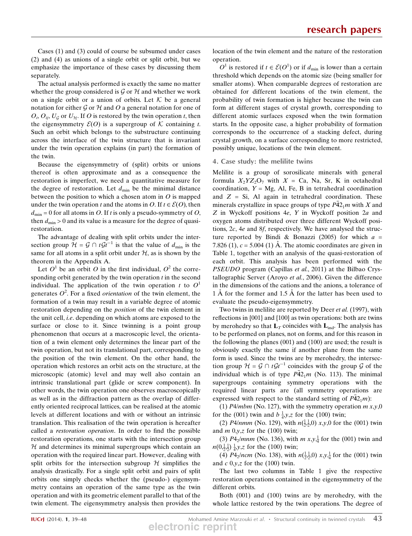Cases (1) and (3) could of course be subsumed under cases (2) and (4) as unions of a single orbit or split orbit, but we emphasize the importance of these cases by discussing them separately.

The actual analysis performed is exactly the same no matter whether the group considered is  $\mathcal G$  or  $\mathcal H$  and whether we work on a single orbit or a union of orbits. Let  $K$  be a general notation for either  $\mathcal G$  or  $\mathcal H$  and  $\mathcal O$  a general notation for one of  $O_i$ ,  $O_{ij}$ ,  $U_g$  or  $U_{\mathcal{H}}$ . If O is restored by the twin operation t, then the eigensymmetry  $\mathcal{E}(O)$  is a supergroup of K containing t. Such an orbit which belongs to the substructure continuing across the interface of the twin structure that is invariant under the twin operation explains (in part) the formation of the twin.

Because the eigensymmetry of (split) orbits or unions thereof is often approximate and as a consequence the restoration is imperfect, we need a quantitative measure for the degree of restoration. Let  $d_{\min}$  be the minimal distance between the position to which a chosen atom in  $O$  is mapped under the twin operation t and the atoms in O. If  $t \in \mathcal{E}(O)$ , then  $d_{\text{min}} = 0$  for all atoms in O. If t is only a pseudo-symmetry of O, then  $d_{\text{min}} > 0$  and its value is a measure for the degree of quasirestoration.

The advantage of dealing with split orbits under the intersection group  $\mathcal{H} = \mathcal{G} \cap t\mathcal{G}t^{-1}$  is that the value of  $d_{\min}$  is the same for all atoms in a split orbit under  $H$ , as is shown by the theorem in the Appendix A.

Let  $O^1$  be an orbit O in the first individual,  $O^2$  the corresponding orbit generated by the twin operation  $t$  in the second individual. The application of the twin operation t to  $O<sup>1</sup>$ generates  $O^2$ . For a fixed *orientation* of the twin element, the formation of a twin may result in a variable degree of atomic restoration depending on the *position* of the twin element in the unit cell, i.e. depending on which atoms are exposed to the surface or close to it. Since twinning is a point group phenomenon that occurs at a macroscopic level, the orientation of a twin element only determines the linear part of the twin operation, but not its translational part, corresponding to the position of the twin element. On the other hand, the operation which restores an orbit acts on the structure, at the microscopic (atomic) level and may well also contain an intrinsic translational part (glide or screw component). In other words, the twin operation one observes macroscopically as well as in the diffraction pattern as the overlap of differently oriented reciprocal lattices, can be realised at the atomic levels at different locations and with or without an intrinsic translation. This realisation of the twin operation is hereafter called a restoration operation. In order to find the possible restoration operations, one starts with the intersection group  $H$  and determines its minimal supergroups which contain an operation with the required linear part. However, dealing with split orbits for the intersection subgroup  $H$  simplifies the analysis drastically. For a single split orbit and pairs of split orbits one simply checks whether the (pseudo-) eigensymmetry contains an operation of the same type as the twin operation and with its geometric element parallel to that of the twin element. The eigensymmetry analysis then provides the

location of the twin element and the nature of the restoration operation.

 $O^1$  is restored if  $t \in \mathcal{E}(O^1)$  or if  $d_{\min}$  is lower than a certain threshold which depends on the atomic size (being smaller for smaller atoms). When comparable degrees of restoration are obtained for different locations of the twin element, the probability of twin formation is higher because the twin can form at different stages of crystal growth, corresponding to different atomic surfaces exposed when the twin formation starts. In the opposite case, a higher probability of formation corresponds to the occurrence of a stacking defect, during crystal growth, on a surface corresponding to more restricted, possibly unique, locations of the twin element.

## 4. Case study: the melilite twins

Melilite is a group of sorosilicate minerals with general formula  $X_2YZ_2O_7$  with  $X = Ca$ , Na, Sr, K in octahedral coordination,  $Y = Mg$ , Al, Fe, B in tetrahedral coordination and  $Z = Si$ , Al again in tetrahedral coordination. These minerals crystallize in space groups of type  $P\bar{4}2_1m$  with X and Z in Wyckoff positions 4e, Y in Wyckoff position 2a and oxygen atoms distributed over three different Wyckoff positions, 2c, 4e and 8f, respectively. We have analysed the structure reported by Bindi & Bonazzi (2005) for which  $a =$ 7.826 (1),  $c = 5.004$  (1) Å. The atomic coordinates are given in Table 1, together with an analysis of the quasi-restoration of each orbit. This analysis has been performed with the PSEUDO program (Capillas et al., 2011) at the Bilbao Crystallographic Server (Aroyo et al., 2006). Given the difference in the dimensions of the cations and the anions, a tolerance of  $1 \text{ Å}$  for the former and  $1.5 \text{ Å}$  for the latter has been used to evaluate the pseudo-eigensymmetry.

Two twins in melilite are reported by Deer et al. (1997), with reflections in {001} and {100} as twin operations: both are twins by merohedry so that  $L_T$  coincides with  $L_{ind}$ . The analysis has to be performed on planes, not on forms, and for this reason in the following the planes (001) and (100) are used; the result is obviously exactly the same if another plane from the same form is used. Since the twins are by merohedry, the intersection group  $\mathcal{H} = \mathcal{G} \cap t\mathcal{G}t^{-1}$  coincides with the group  $\mathcal{G}$  of the individual which is of type  $P\overline{4}2_1m$  (No. 113). The minimal supergroups containing symmetry operations with the required linear parts are (all symmetry operations are expressed with respect to the standard setting of  $\overline{P42_1m}$ ):

(1) P4/mbm (No. 127), with the symmetry operation  $m x, y, 0$ for the (001) twin and  $b\frac{1}{4}$ , y, z for the (100) twin;

(2) *P4/nmm* (No. 129), with  $n(\frac{1}{2}, 0)$  *x*, *y*, 0 for the (001) twin and  $m\ 0, y, z$  for the (100) twin;

(3)  $P4_2/mnm$  (No. 136), with  $m x, y, \frac{1}{4}$  for the (001) twin and  $n(0,\frac{1}{2},\frac{1}{2})$   $\frac{1}{4}$ ,y,z for the (100) twin;

(4) *P*4<sub>2</sub>/*ncm* (No. 138), with  $n(\frac{1}{2}, 0)$  *x*,  $y, \frac{1}{4}$  for the (001) twin and  $c$  0,y,z for the (100) twin.

The last two columns in Table 1 give the respective restoration operations contained in the eigensymmetry of the different orbits.

Both (001) and (100) twins are by merohedry, with the whole lattice restored by the twin operations. The degree of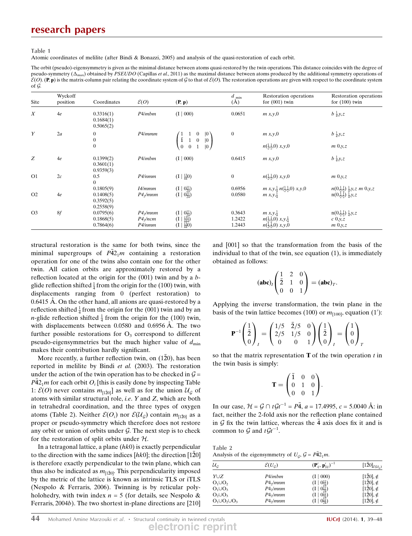Table 1

Atomic coordinates of melilite (after Bindi & Bonazzi, 2005) and analysis of the quasi-restoration of each orbit.

The orbit (pseudo)-eigensymmetry is given as the minimal distance between atoms quasi-restored by the twin operations. This distance coincides with the degree of pseudo-symmetry ( $\Delta_{\text{max}}$ ) obtained by PSEUDO (Capillas et al., 2011) as the maximal distance between atoms produced by the additional symmetry operations of  $\mathcal{E}(O)$ . (P, p) is the matrix-column pair relating the coordinate system of G to that of  $\mathcal{E}(O)$ . The restoration operations are given with respect to the coordinate system of G.

| Site             | Wyckoff<br>position | Coordinates                         | $\mathcal{E}(O)$                           | (P, p)                                                                                                                                                                                                                                           | $d_{\min}$<br>(A)          | Restoration operations<br>for $(001)$ twin                                                                                  | Restoration operations<br>for $(100)$ twin                                           |
|------------------|---------------------|-------------------------------------|--------------------------------------------|--------------------------------------------------------------------------------------------------------------------------------------------------------------------------------------------------------------------------------------------------|----------------------------|-----------------------------------------------------------------------------------------------------------------------------|--------------------------------------------------------------------------------------|
| $\boldsymbol{X}$ | 4e                  | 0.3316(1)<br>0.1684(1)<br>0.5065(2) | P4/mbm                                     | (I   000)                                                                                                                                                                                                                                        | 0.0651                     | m x, y, 0                                                                                                                   | $b\frac{1}{4}y, z$                                                                   |
| Y                | 2a                  | $\bf{0}$                            | P4/mmm                                     |                                                                                                                                                                                                                                                  | $\boldsymbol{0}$           | m x, y, 0                                                                                                                   | $b\frac{1}{4}y, z$                                                                   |
|                  |                     | $\overline{0}$<br>$\mathbf{0}$      |                                            | $\begin{pmatrix} 1 & 1 & 0 &  0 \\ \bar{1} & 1 & 0 &  0 \\ 0 & 0 & 1 &  0 \end{pmatrix}$                                                                                                                                                         |                            | $n(\frac{1}{2},\frac{1}{2},0)$ x,y,0                                                                                        | $m\ 0,y,z$                                                                           |
| Z                | 4e                  | 0.1399(2)<br>0.3601(1)<br>0.9359(3) | P4/mbm                                     | (I   000)                                                                                                                                                                                                                                        | 0.6415                     | m x, y, 0                                                                                                                   | $b\frac{1}{4}y, z$                                                                   |
| O1               | 2c                  | 0.5<br>$\theta$                     | P4/nmm                                     | $(I   \frac{13}{44}0)$                                                                                                                                                                                                                           | $\overline{0}$             | $n(\frac{1}{2},\frac{1}{2},0)$ x,y,0                                                                                        | $m\left(0,y,z\right)$                                                                |
|                  |                     | 0.1805(9)                           | I4/mmm                                     |                                                                                                                                                                                                                                                  | 0.6956                     | $m x, y, \frac{1}{4} n(\frac{1}{2}, \frac{1}{2}, 0) x, y, 0$                                                                | $n(0,\frac{1}{2},\frac{1}{2})$ $\frac{1}{4}$ , y, z m 0, y, z                        |
| O <sub>2</sub>   | 4e                  | 0.1408(5)<br>0.3592(5)<br>0.2558(9) | $P4\sqrt{mm}$                              | $\left( \begin{matrix} I & 0 & \frac{11}{24} \\ I & 0 & \frac{11}{24} \end{matrix} \right)$                                                                                                                                                      | 0.0580                     | <i>m</i> $x, y, \frac{1}{4}$                                                                                                | $n(0,\frac{1}{2},\frac{1}{2})$ $\frac{1}{4}$ , $y$ , z                               |
| O <sub>3</sub>   | 8f                  | 0.0795(6)<br>0.1868(5)<br>0.7864(6) | $P4\sqrt{mm}$<br>$P4\sqrt{n}$ cm<br>P4/nmm | $\begin{array}{c} ( \left[ \begin{array}{c c} 1 & 0 \frac{11}{24} \end{array} \right) \\ ( \left[ \begin{array}{c c} 1 & \frac{131}{444} \end{array} \right) \\ ( \left[ \begin{array}{c c} 1 & \frac{130}{440} \end{array} \right) \end{array}$ | 0.3643<br>1.2422<br>1.2443 | <i>m</i> $x, y, \frac{1}{4}$<br>$n(\frac{1}{2},\frac{1}{2},0)$ x,y, $\frac{1}{4}$<br>$n(\frac{1}{2},\frac{1}{2},0)$ x, y, 0 | $n(0,\frac{1}{2},\frac{1}{2})$ $\frac{1}{4}$ , $y$ , $z$<br>$c\,0,y,z$<br>$m\ 0,y,z$ |

structural restoration is the same for both twins, since the minimal supergroups of  $\bar{P42}_1m$  containing a restoration operation for one of the twins also contain one for the other twin. All cation orbits are approximately restored by a reflection located at the origin for the  $(001)$  twin and by a  $b$ glide reflection shifted  $\frac{1}{4}$  from the origin for the (100) twin, with displacements ranging from 0 (perfect restoration) to 0.6415 A. On the other hand, all anions are quasi-restored by a reflection shifted  $\frac{1}{4}$  from the origin for the (001) twin and by an *n*-glide reflection shifted  $\frac{1}{4}$  from the origin for the (100) twin, with displacements between  $0.0580$  and  $0.6956$  Å. The two further possible restorations for  $O_3$  correspond to different pseudo-eigensymmetries but the much higher value of  $d_{\min}$ makes their contribution hardly significant.

More recently, a further reflection twin, on (120), has been reported in melilite by Bindi et al. (2003). The restoration under the action of the twin operation has to be checked in  $\mathcal{G} =$  $P\bar{4}2_1m$  for each orbit  $O_i$  [this is easily done by inspecting Table 1:  $\mathcal{E}(O)$  never contains  $m_{[1\bar{2}0]}$  as well as for the union  $\mathcal{U}_{\mathcal{G}}$  of atoms with similar structural role, i.e. Y and Z, which are both in tetrahedral coordination, and the three types of oxygen atoms (Table 2). Neither  $\mathcal{E}(O_i)$  nor  $\mathcal{E}(\mathcal{U}_{\mathcal{G}})$  contain  $m_{[1\bar{2}0]}$  as a proper or pseudo-symmetry which therefore does not restore any orbit or union of orbits under  $G$ . The next step is to check for the restoration of split orbits under  $H$ .

In a tetragonal lattice, a plane  $(hk0)$  is exactly perpendicular to the direction with the same indices  $[hk0]$ ; the direction  $[1\overline{2}0]$ is therefore exactly perpendicular to the twin plane, which can thus also be indicated as  $m_{[1\bar{2}0]}$ . This perpendicularity imposed by the metric of the lattice is known as intrinsic TLS or iTLS (Nespolo & Ferraris, 2006). Twinning is by reticular polyholohedry, with twin index  $n = 5$  (for details, see Nespolo & Ferraris, 2004b). The two shortest in-plane directions are [210] and [001] so that the transformation from the basis of the individual to that of the twin, see equation (1), is immediately obtained as follows:

$$
(\mathbf{abc})_I \begin{pmatrix} 1 & 2 & 0 \\ \bar{2} & 1 & 0 \\ 0 & 0 & 1 \end{pmatrix} = (\mathbf{abc})_T.
$$

Applying the inverse transformation, the twin plane in the basis of the twin lattice becomes (100) or  $m_{[100]}$ , equation (1'):

$$
\mathbf{P}^{-1}\begin{pmatrix} 1\\ \bar{2} \\ 0 \end{pmatrix}_{I} = \begin{pmatrix} 1/5 & \bar{2}/5 & 0\\ 2/5 & 1/5 & 0\\ 0 & 0 & 1 \end{pmatrix} \begin{pmatrix} 1\\ \bar{2} \\ 0 \end{pmatrix}_{I} = \begin{pmatrix} 1\\ 0 \\ 0 \end{pmatrix}_{I}
$$

so that the matrix representation  **of the twin operation**  $t$  **in** the twin basis is simply:

$$
\mathbf{T} = \begin{pmatrix} \bar{1} & 0 & 0 \\ 0 & 1 & 0 \\ 0 & 0 & 1 \end{pmatrix}.
$$

In our case,  $H = \mathcal{G} \cap t\mathcal{G}t^{-1} = P\bar{4}$ ,  $a = 17.4995$ ,  $c = 5.0040 \text{ Å}$ : in fact, neither the 2-fold axis nor the reflection plane contained in G fix the twin lattice, whereas the  $\bar{4}$  axis does fix it and is common to  $\mathcal G$  and  $t\mathcal{G}t^{-1}$ .

Table 2 Analysis of the eigensymmetry of  $U_{\mathcal{G}}$ ,  $\mathcal{G} = P\overline{4}2_1m$ .

| ${\mathcal U}_{{\mathcal G}}$ | $\mathcal{E}(U_c)$   | $({\bf P}'_{ij},{\bf p}'_{  ij})^{-1}$ | $[1\bar{2}0]_{\mathcal{E}(\mathcal{U}_{\mathcal{G}})}$ |
|-------------------------------|----------------------|----------------------------------------|--------------------------------------------------------|
| YUZ                           | P4/mbm               | (I   000)                              | $[1\overline{2}0], \notin$                             |
| $O_1 \cup O_2$                | P4 <sub>2</sub> /mmm | $(I   0\frac{11}{24})$                 | $[120], \notin$                                        |
| $O_1 \cup O_3$                | P4 <sub>2</sub> /mmm | $(1   0_{24}^{\rm H})$                 | $[120], \notin$                                        |
| $O_2 \cup O_3$                | $P42$ /mnm           | $(1   0_{24}^{11})$                    | $[120], \notin$                                        |
| $O_1 \cup O_2 \cup O_3$       | P4 <sub>2</sub> /mnm | $(1   0\frac{11}{24})$                 | $[120], \notin$                                        |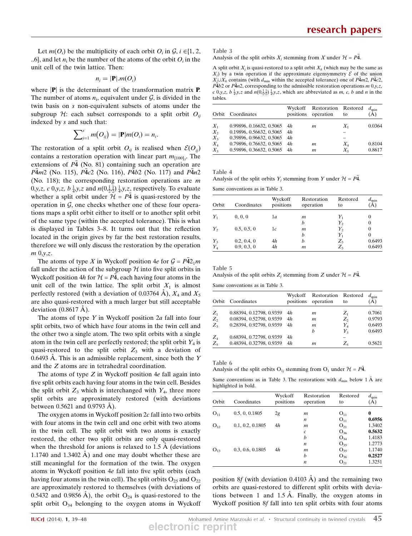Let  $m(O_i)$  be the multiplicity of each orbit  $O_i$  in  $\mathcal{G}, i \in \{1, 2, \ldots\}$ ..6, and let  $n_i$  be the number of the atoms of the orbit  $O_i$  in the unit cell of the twin lattice. Then:

$$
n_i=|\mathbf{P}|.m(O_i)
$$

where  $|\mathbf{P}|$  is the determinant of the transformation matrix **P**. The number of atoms  $n_i$ , equivalent under  $G$ , is divided in the twin basis on s non-equivalent subsets of atoms under the subgroup H: each subset corresponds to a split orbit  $O_{ii}$ indexed by s and such that:

$$
\sum_{j=1}^s m(O_{ij}) = |\mathbf{P}| m(O_i) = n_i
$$

:

The restoration of a split orbit  $O_{ij}$  is realised when  $\mathcal{E}(O_{ij})$ contains a restoration operation with linear part  $m_{[100]_T}$ . The extensions of  $P\bar{4}$  (No. 81) containing such an operation are  $P\bar{4}m2$  (No. 115),  $P\bar{4}c2$  (No. 116),  $P\bar{4}b2$  (No. 117) and  $P\bar{4}n2$ (No. 118); the corresponding restoration operations are m 0,y,z, c 0,y,z,  $b\frac{1}{4}$ ,y,z and  $n(0,\frac{1}{2},\frac{1}{2})\frac{1}{4}$ ,y,z<sub>2</sub> respectively. To evaluate whether a split orbit under  $\mathcal{H} = P\bar{4}$  is quasi-restored by the operation in  $G$ , one checks whether one of these four operations maps a split orbit either to itself or to another split orbit of the same type (within the accepted tolerance). This is what is displayed in Tables 3–8. It turns out that the reflection located in the origin gives by far the best restoration results, therefore we will only discuss the restoration by the operation  $m\,0,y,z.$ 

The atoms of type X in Wyckoff position  $4e$  for  $\mathcal{G} = P\overline{4}2_1m$ fall under the action of the subgroup  $H$  into five split orbits in Wyckoff position 4h for  $H = P\overline{4}$ , each having four atoms in the unit cell of the twin lattice. The split orbit  $X_1$  is almost perfectly restored (with a deviation of 0.03764 A),  $X_4$  and  $X_5$ are also quasi-restored with a much larger but still acceptable deviation  $(0.8617 \text{ Å})$ .

The atoms of type Y in Wyckoff position  $2a$  fall into four split orbits, two of which have four atoms in the twin cell and the other two a single atom. The two split orbits with a single atom in the twin cell are perfectly restored; the split orbit  $Y_4$  is quasi-restored to the split orbit  $Z_3$  with a deviation of  $0.6493$  A. This is an admissible replacement, since both the Y and the Z atoms are in tetrahedral coordination.

The atoms of type  $Z$  in Wyckoff position  $4e$  fall again into five split orbits each having four atoms in the twin cell. Besides the split orbit  $Z_3$  which is interchanged with  $Y_4$ , three more split orbits are approximately restored (with deviations between  $0.5621$  and  $0.9793$  Å).

The oxygen atoms in Wyckoff position  $2c$  fall into two orbits with four atoms in the twin cell and one orbit with two atoms in the twin cell. The split orbit with two atoms is exactly restored, the other two split orbits are only quasi-restored when the threshold for anions is relaxed to  $1.5 \text{ Å}$  (deviations 1.1740 and 1.3402  $\AA$ ) and one may doubt whether these are still meaningful for the formation of the twin. The oxygen atoms in Wyckoff position 4e fall into five split orbits (each having four atoms in the twin cell). The split orbits  $O_{25}$  and  $O_{22}$ are approximately restored to themselves (with deviations of 0.5432 and 0.9856 Å), the orbit  $O_{24}$  is quasi-restored to the split orbit  $O_{34}$  belonging to the oxygen atoms in Wyckoff

| -<br>٠ |  |
|--------|--|
|--------|--|

Analysis of the split orbits  $X_j$  stemming from X under  $\mathcal{H} = P\overline{A}$ .

A split orbit  $X_i$  is quasi-restored to a split orbit  $X_k$  (which may be the same as  $X_i$ ) by a twin operation if the approximate eigensymmetry  $\mathcal E$  of the union  $X_i \cup X_k$  contains (with  $d_{\min}$  within the accepted tolerance) one of  $P\bar{4}m_2$ ,  $P\bar{4}c_2$ ,  $P\overline{4}b2$  or  $P\overline{4}n2$ , corresponding to the admissible restoration operations m 0,y,z, c 0,y,z,  $b\frac{1}{4}$ ,y,z and  $n(0,\frac{1}{22})\frac{1}{4}$ ,y,z, which are abbreviated as m, c, b and n in the tables.

|       | Orbit Coordinates             |    | Wyckoff Restoration Restored<br>positions operation | to      | $d_{\min}$<br>(A) |
|-------|-------------------------------|----|-----------------------------------------------------|---------|-------------------|
| $X_1$ | 0.99896, 0.16632, 0.5065      | 4h | m                                                   | $X_1$   | 0.0364            |
| $X_2$ | 0.19896, 0.56632, 0.5065      | 4h |                                                     |         |                   |
| $X_3$ | 0.39896, 0.96632, 0.5065      | 4h |                                                     |         |                   |
| $X_4$ | 0.79896, 0.76632, 0.5065      | 4h | m                                                   | $X_4$   | 0.8104            |
| $X_5$ | $0.59896, 0.36632, 0.5065$ 4h |    | m                                                   | $X_{5}$ | 0.8617            |

Table 4

Analysis of the split orbits  $Y_j$  stemming from Y under  $\mathcal{H} = P\overline{A}$ .

Same conventions as in Table 3.

| Orbit   | Coordinates | Wyckoff<br>positions | Restoration<br>operation | Restored<br>to | $a_{\min}$<br>Ă) |
|---------|-------------|----------------------|--------------------------|----------------|------------------|
| $Y_1$   | 0, 0, 0     | 1a                   | m                        | $Y_1$          | $\theta$         |
|         |             |                      | h                        | $Y_{2}$        | $\Omega$         |
| $Y_{2}$ | 0.5, 0.5, 0 | 1c                   | m                        | $Y_{2}$        | $\Omega$         |
|         |             |                      | h                        | $Y_1$          | $\Omega$         |
| $Y_3$   | 0.2, 0.4, 0 | 4h                   | h                        | $Z_3$          | 0.6493           |
| $Y_4$   | 0.9, 0.3, 0 | 4h                   | m                        | $Z_{3}$        | 0.6493           |

Table 5

Analysis of the split orbits  $Z_j$  stemming from Z under  $\mathcal{H} = P\overline{A}$ .

Same conventions as in Table 3.

| Orbit   | Coordinates              | Wyckoff<br>positions | Restoration Restored<br>operation | to      | $d_{\min}$<br>(A) |
|---------|--------------------------|----------------------|-----------------------------------|---------|-------------------|
| $Z_1$   | 0.88394, 0.12798, 0.9359 | 4h                   | m                                 | $Z_{1}$ | 0.7061            |
| $Z_{2}$ | 0.08394, 0.52798, 0.9359 | 4h                   | m                                 | $Z_{2}$ | 0.9793            |
| $Z_{3}$ | 0.28394, 0.92798, 0.9359 | 4h                   | m                                 | $Y_{A}$ | 0.6493            |
|         |                          |                      | h                                 | $Y_3$   | 0.6493            |
| $Z_4$   | 0.68394, 0.72798, 0.9359 | 4h                   |                                   |         |                   |
| $Z_5$   | 0.48394, 0.32798, 0.9359 | 4h                   | m                                 | Zς      | 0.5621            |

Table 6

Analysis of the split orbits O<sub>1j</sub> stemming from O<sub>1</sub> under  $\mathcal{H} = P\overline{4}$ .

Same conventions as in Table 3. The restorations with  $d_{\min}$  below 1 Å are highlighted in bold.

| Orbit    | Coordinates      | Wyckoff<br>positions | Restoration<br>operation | Restored<br>to | min<br>A) |
|----------|------------------|----------------------|--------------------------|----------------|-----------|
| $O_{11}$ | 0.5, 0, 0.1805   | 2g                   | m                        | $O_{11}$       | 0         |
|          |                  |                      | n                        | $O_{11}$       | 0.6956    |
| $O_{12}$ | 0.1, 0.2, 0.1805 | 4h                   | m                        | $O_{21}$       | 1.3402    |
|          |                  |                      | $\mathcal{C}$            | $O_{36}$       | 0.5632    |
|          |                  |                      | b                        | $O_{34}$       | 1.4183    |
|          |                  |                      | n                        | $O_{35}$       | 1.2773    |
| $O_{13}$ | 0.3, 0.6, 0.1805 | 4h                   | m                        | $O_{35}$       | 1.1740    |
|          |                  |                      | h                        | $O_{36}$       | 0.2527    |
|          |                  |                      | n                        | $O_{21}$       | 1.3251    |

position 8f (with deviation 0.4103  $\AA$ ) and the remaining two orbits are quasi-restored to different split orbits with deviations between 1 and  $1.5 \text{ Å}$ . Finally, the oxygen atoms in Wyckoff position 8f fall into ten split orbits with four atoms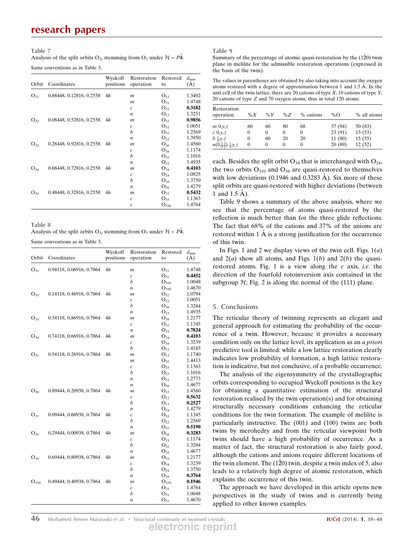# research papers

### Table 7

Analysis of the split orbits O<sub>2j</sub> stemming from O<sub>2</sub> under  $\mathcal{H} = P\overline{4}$ . Same conventions as in Table 3.

| Orbit    | Coordinates              | Wyckoff<br>positions | Restoration<br>operation | Restored<br>to | $d_{\min}$<br>(A) |
|----------|--------------------------|----------------------|--------------------------|----------------|-------------------|
| $O_{21}$ | 0.88448, 0.12816, 0.2558 | 4h                   | $\mathfrak{m}$           | $O_{12}$       | 1.3402            |
|          |                          |                      | $\mathfrak{m}$           | $O_{31}$       | 1.4748            |
|          |                          |                      | $\mathcal{C}$            | $O_{21}$       | 0.3182            |
|          |                          |                      | n                        | $O_{13}$       | 1.3251            |
| $O_{22}$ | 0.08448, 0.52816, 0.2558 | 4h                   | $\boldsymbol{m}$         | $O_{22}$       | 0.9856            |
|          |                          |                      | $\mathcal{C}$            | $O_{32}$       | 1.0051            |
|          |                          |                      | h                        | $O_{37}$       | 1.2569            |
|          |                          |                      | $\boldsymbol{n}$         | $O_{22}$       | 1.3950            |
| $O_{23}$ | 0.28448, 0.92816, 0.2558 | 4h                   | $\mathfrak{m}$           | $O_{36}$       | 1.4560            |
|          |                          |                      | $\mathcal{C}$            | $O_{38}$       | 1.1174            |
|          |                          |                      | h                        | $O_{35}$       | 1.1016            |
|          |                          |                      | n                        | $O_{32}$       | 1.4935            |
| $O_{24}$ | 0.68448, 0.72816, 0.2558 | 4h                   | m                        | $O_{34}$       | 0.4103            |
|          |                          |                      | $\mathcal{C}$            | $O_{24}$       | 1.0825            |
|          |                          |                      | h                        | $O_{39}$       | 1.3750            |
|          |                          |                      | $\boldsymbol{n}$         | $O_{36}$       | 1.4279            |
| $O_{25}$ | 0.48448, 0.32816, 0.2558 | 4h                   | $\mathfrak{m}$           | $O_{25}$       | 0.5432            |
|          |                          |                      | $\mathfrak c$            | $O_{35}$       | 1.1363            |
|          |                          |                      | c                        | $O_{310}$      | 1.4764            |

Table 8

| Analysis of the split orbits O <sub>3i</sub> stemming from O <sub>3</sub> under $H = P4$ . |  |
|--------------------------------------------------------------------------------------------|--|
|--------------------------------------------------------------------------------------------|--|

Same conventions as in Table 3.

| Orbit             | Coordinates              | Wyckoff<br>positions | Restoration<br>operation             | Restored<br>to        | $d_{\min}$<br>(A) |
|-------------------|--------------------------|----------------------|--------------------------------------|-----------------------|-------------------|
|                   |                          |                      |                                      |                       |                   |
| $O_{31}$          | 0.94118, 0.06916, 0.7864 | 4h                   | m                                    | $O_{21}$              | 1.4748            |
|                   |                          |                      | $\boldsymbol{c}$                     | $O_{31}$              | 0.4452            |
|                   |                          |                      | b                                    | $O_{310}$             | 1.0048            |
|                   |                          |                      | n                                    | $O_{310}$             | 1.4670            |
| $\mathrm{O}_{32}$ | 0.14118, 0.46916, 0.7864 | 4h                   | m                                    | $O_{32}$              | 1.0794            |
|                   |                          |                      | $\boldsymbol{c}$                     | $O_{22}$              | 1.0051            |
|                   |                          |                      | b                                    | $O_{38}$              | 1.3284            |
|                   |                          |                      | $\boldsymbol{n}$                     | $O_{23}$              | 1.4935            |
| $O_{33}$          | 0.34118, 0.86916, 0.7864 | 4h                   | m                                    | $O_{39}$              | 1.2177            |
|                   |                          |                      | $\boldsymbol{c}$                     | $O_{37}$              | 1.1345            |
|                   |                          |                      | $\boldsymbol{n}$                     | $O_{33}$              | 0.7824            |
| $O_{34}$          | 0.74118, 0.66916, 0.7864 | 4h                   | m                                    | $O_{24}$              | 0.4103            |
|                   |                          |                      | $\boldsymbol{c}$                     | $O_{39}$              | 1.3239            |
|                   |                          | 4h                   | b                                    | O <sub>12</sub>       | 1.4183            |
| $O_{35}$          | 0.54118, 0.26916, 0.7864 |                      | $\mathfrak{m}$                       | $O_{13}$              | 1.1740            |
|                   |                          |                      | $\boldsymbol{m}$                     | $O_{35}$              | 1.4413            |
|                   |                          |                      | $\boldsymbol{c}$                     | $O_{25}$              | 1.1363            |
|                   |                          |                      | b                                    | $O_{23}$              | 1.1016            |
|                   |                          |                      | $\boldsymbol{n}$                     | O <sub>12</sub>       | 1.2773            |
|                   |                          |                      | n                                    | $O_{38}$              | 1.4677            |
| $O_{36}$          | 0.89444, 0.20938, 0.7864 | 4h                   | m                                    | $O_{23}$              | 1.4560            |
|                   |                          |                      | $\boldsymbol{c}$                     | O <sub>12</sub>       | 0.5632<br>0.2527  |
|                   |                          |                      | b                                    | $O_{13}$              |                   |
|                   |                          | 4h                   | $\boldsymbol{n}$                     | $O_{24}$              | 1.4279            |
| $O_{37}$          | 0.09444, 0.60938, 0.7864 |                      | $\boldsymbol{c}$<br>b                | $O_{33}$              | 1.1345<br>1.2569  |
|                   |                          |                      |                                      | $O_{22}$<br>$O_{37}$  | 0.5190            |
| $O_{38}$          | 0.29444, 0.00938, 0.7864 | 4h                   | $\boldsymbol{n}$<br>$\boldsymbol{m}$ | $O_{38}$              | 0.3283            |
|                   |                          |                      | $\boldsymbol{c}$                     | $O_{23}$              | 1.1174            |
|                   |                          |                      | b                                    | $O_{32}$              | 1.3284            |
|                   |                          |                      | $\boldsymbol{n}$                     | $O_{35}$              | 1.4677            |
| $O_{39}$          | 0.69444, 0.80938, 0.7864 | 4h                   | $\boldsymbol{m}$                     | $O_{33}$              | 1.2177            |
|                   |                          |                      | $\boldsymbol{c}$                     | $O_{34}$              | 1.3239            |
|                   |                          |                      | b                                    | $O_{24}$              | 1.3750            |
|                   |                          |                      | n                                    | $O_{39}$              | 0.3764            |
|                   | 0.49444, 0.40938, 0.7864 | 4h                   |                                      |                       | 0.1946            |
| $O_{310}$         |                          |                      | m                                    | $O_{310}$<br>$O_{25}$ | 1.4764            |
|                   |                          |                      | C<br>b                               | $O_{31}$              | 1.0048            |
|                   |                          |                      | n                                    |                       | 1.4670            |
|                   |                          |                      |                                      | $\mathrm{O}_{31}$     |                   |

#### Table 9

Summary of the percentage of atomic quasi-restoration by the  $(1\bar{2}0)$  twin plane in melilite for the admissible restoration operations (expressed in the basis of the twin).

The values in parentheses are obtained by also taking into account the oxygen atoms restored with a degree of approximation between 1 and  $1.5 \text{ Å}$ . In the unit cell of the twin lattice, there are 20 cations of type  $X$ , 10 cations of type  $Y$ , 20 cations of type Z and 70 oxygen atoms, thus in total 120 atoms.

| Restoration<br>operation                            | $\%X$    | % $Y$    | $\%Z$    | % cations | %O      | % all atoms |
|-----------------------------------------------------|----------|----------|----------|-----------|---------|-------------|
| $m\ 0,y,z$                                          | 60       | 60       | 80       | 68        | 37 (94) | 50 (83)     |
| $c\left(0,y,z\right)$                               | $\Omega$ | $\theta$ | $\theta$ | $\theta$  | 23(91)  | 13(53)      |
| $b\frac{1}{4}y, z$                                  | $\Omega$ | 60       | 20       | 20        | 11(80)  | 15(55)      |
| $n(0,\frac{1}{2},\frac{1}{2})$ $\frac{1}{4}$ , y, z | $\Omega$ | $\theta$ | 0        | $\theta$  | 20(89)  | 12(52)      |

each. Besides the split orbit  $O_{34}$  that is interchanged with  $O_{24}$ , the two orbits  $O_{310}$  and  $O_{38}$  are quasi-restored to themselves with low deviations  $(0.1946 \text{ and } 0.3283 \text{ Å})$ . Six more of these split orbits are quasi-restored with higher deviations (between 1 and 1.5  $\AA$ ).

Table 9 shows a summary of the above analysis, where we see that the percentage of atoms quasi-restored by the reflection is much better than for the three glide reflections. The fact that 68% of the cations and 37% of the anions are restored within  $1 \mathring{A}$  is a strong justification for the occurrence of this twin.

In Figs. 1 and 2 we display views of the twin cell. Figs.  $1(a)$ and  $2(a)$  show all atoms, and Figs.  $1(b)$  and  $2(b)$  the quasirestored atoms. Fig. 1 is a view along the  $c$  axis, *i.e.* the direction of the fourfold rotoinversion axis contained in the subgroup  $H$ ; Fig. 2 is along the normal of the (111) plane.

### 5. Conclusions

The reticular theory of twinning represents an elegant and general approach for estimating the probability of the occurrence of a twin. However, because it provides a necessary condition only on the lattice level, its application as an a priori predictive tool is limited: while a low lattice restoration clearly indicates low probability of formation, a high lattice restoration is indicative, but not conclusive, of a probable occurrence.

The analysis of the eigensymmetry of the crystallographic orbits corresponding to occupied Wyckoff positions is the key for obtaining a quantitative estimation of the structural restoration realised by the twin operation(s) and for obtaining structurally necessary conditions enhancing the reticular conditions for the twin formation. The example of melilite is particularly instructive. The (001) and (100) twins are both twins by merohedry and from the reticular viewpoint both twins should have a high probability of occurrence. As a matter of fact, the structural restoration is also fairly good, although the cations and anions require different locations of the twin element. The  $(1\bar{2}0)$  twin, despite a twin index of 5, also leads to a relatively high degree of atomic restoration, which explains the occurrence of this twin.

The approach we have developed in this article opens new perspectives in the study of twins and is currently being applied to other known examples.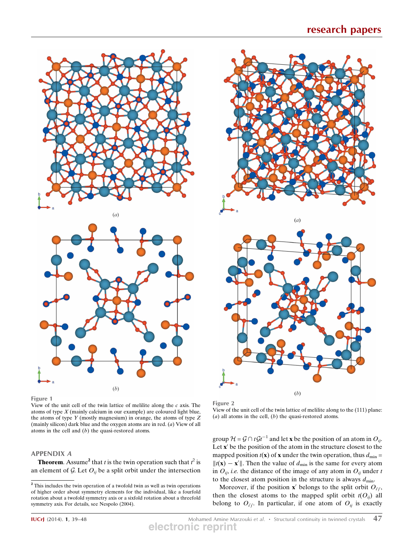



Figure 1

View of the unit cell of the twin lattice of melilite along the  $c$  axis. The atoms of type  $X$  (mainly calcium in our example) are coloured light blue, the atoms of type  $Y$  (mostly magnesium) in orange, the atoms of type  $Z$ (mainly silicon) dark blue and the oxygen atoms are in red. (a) View of all atoms in the cell and (b) the quasi-restored atoms.

## APPENDIX A

**Theorem.** Assume<sup>2</sup> that *t* is the twin operation such that  $t^2$  is an element of G. Let  $O_{ij}$  be a split orbit under the intersection





Figure 2

View of the unit cell of the twin lattice of melilite along to the (111) plane: (a) all atoms in the cell,  $(b)$  the quasi-restored atoms.

group  $\mathcal{H} = \mathcal{G} \cap t \mathcal{G}t^{-1}$  and let **x** be the position of an atom in  $O_{ij}$ . Let  $x'$  be the position of the atom in the structure closest to the mapped position  $t(\mathbf{x})$  of **x** under the twin operation, thus  $d_{\text{min}} =$  $||t(\mathbf{x}) - \mathbf{x}'||$ . Then the value of  $d_{\text{min}}$  is the same for every atom in  $O_{ij}$ , i.e. the distance of the image of any atom in  $O_{ij}$  under t to the closest atom position in the structure is always  $d_{\text{min}}$ .

Moreover, if the position  $\mathbf{x}'$  belongs to the split orbit  $O_{i'j'}$ , then the closest atoms to the mapped split orbit  $t(O_{ij})$  all belong to  $O_{i'j'}$ . In particular, if one atom of  $O_{ij}$  is exactly

**IUCrJ** (2014). 1, 39–48 **Amine Marzouki et al. •** Structural continuity in twinned crystals 47 **electronic reprint**

<sup>2</sup> This includes the twin operation of a twofold twin as well as twin operations of higher order about symmetry elements for the individual, like a fourfold rotation about a twofold symmetry axis or a sixfold rotation about a threefold symmetry axis. For details, see Nespolo (2004).